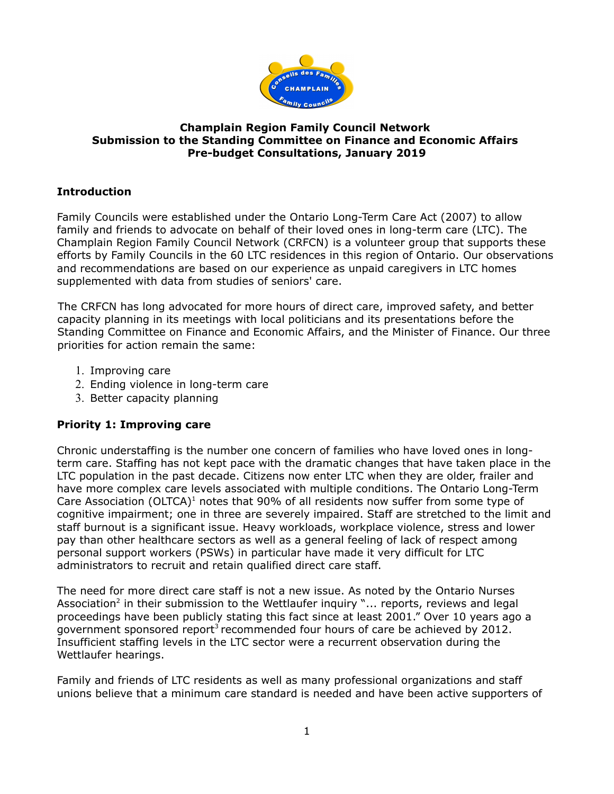

## **Champlain Region Family Council Network Submission to the Standing Committee on Finance and Economic Affairs Pre-budget Consultations, January 2019**

# **Introduction**

Family Councils were established under the Ontario Long-Term Care Act (2007) to allow family and friends to advocate on behalf of their loved ones in long-term care (LTC). The Champlain Region Family Council Network (CRFCN) is a volunteer group that supports these efforts by Family Councils in the 60 LTC residences in this region of Ontario. Our observations and recommendations are based on our experience as unpaid caregivers in LTC homes supplemented with data from studies of seniors' care.

The CRFCN has long advocated for more hours of direct care, improved safety, and better capacity planning in its meetings with local politicians and its presentations before the Standing Committee on Finance and Economic Affairs, and the Minister of Finance. Our three priorities for action remain the same:

- 1. Improving care
- 2. Ending violence in long-term care
- 3. Better capacity planning

# **Priority 1: Improving care**

Chronic understaffing is the number one concern of families who have loved ones in longterm care. Staffing has not kept pace with the dramatic changes that have taken place in the LTC population in the past decade. Citizens now enter LTC when they are older, frailer and have more complex care levels associated with multiple conditions. The Ontario Long-Term Care Association (OLTCA) $<sup>1</sup>$  notes that 90% of all residents now suffer from some type of</sup> cognitive impairment; one in three are severely impaired. Staff are stretched to the limit and staff burnout is a significant issue. Heavy workloads, workplace violence, stress and lower pay than other healthcare sectors as well as a general feeling of lack of respect among personal support workers (PSWs) in particular have made it very difficult for LTC administrators to recruit and retain qualified direct care staff.

The need for more direct care staff is not a new issue. As noted by the Ontario Nurses Association<sup>2</sup> in their submission to the Wettlaufer inquiry "... reports, reviews and legal proceedings have been publicly stating this fact since at least 2001." Over 10 years ago a government sponsored report<sup>3</sup> recommended four hours of care be achieved by 2012. Insufficient staffing levels in the LTC sector were a recurrent observation during the Wettlaufer hearings.

Family and friends of LTC residents as well as many professional organizations and staff unions believe that a minimum care standard is needed and have been active supporters of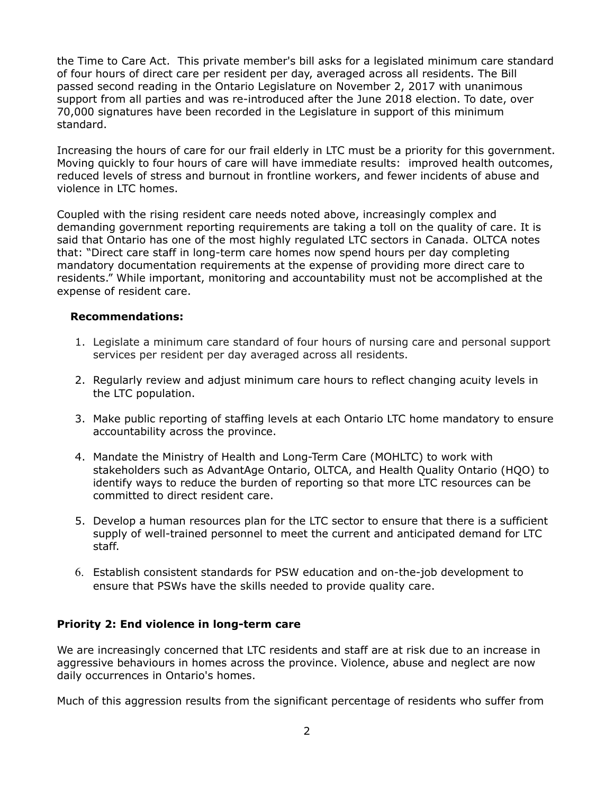the Time to Care Act. This private member's bill asks for a legislated minimum care standard of four hours of direct care per resident per day, averaged across all residents. The Bill passed second reading in the Ontario Legislature on November 2, 2017 with unanimous support from all parties and was re-introduced after the June 2018 election. To date, over 70,000 signatures have been recorded in the Legislature in support of this minimum standard.

Increasing the hours of care for our frail elderly in LTC must be a priority for this government. Moving quickly to four hours of care will have immediate results: improved health outcomes, reduced levels of stress and burnout in frontline workers, and fewer incidents of abuse and violence in LTC homes.

Coupled with the rising resident care needs noted above, increasingly complex and demanding government reporting requirements are taking a toll on the quality of care. It is said that Ontario has one of the most highly regulated LTC sectors in Canada. OLTCA notes that: "Direct care staff in long-term care homes now spend hours per day completing mandatory documentation requirements at the expense of providing more direct care to residents." While important, monitoring and accountability must not be accomplished at the expense of resident care.

#### **Recommendations:**

- 1. Legislate a minimum care standard of four hours of nursing care and personal support services per resident per day averaged across all residents.
- 2. Regularly review and adjust minimum care hours to reflect changing acuity levels in the LTC population.
- 3. Make public reporting of staffing levels at each Ontario LTC home mandatory to ensure accountability across the province.
- 4. Mandate the Ministry of Health and Long-Term Care (MOHLTC) to work with stakeholders such as AdvantAge Ontario, OLTCA, and Health Quality Ontario (HQO) to identify ways to reduce the burden of reporting so that more LTC resources can be committed to direct resident care.
- 5. Develop a human resources plan for the LTC sector to ensure that there is a sufficient supply of well-trained personnel to meet the current and anticipated demand for LTC staff.
- 6. Establish consistent standards for PSW education and on-the-job development to ensure that PSWs have the skills needed to provide quality care.

### **Priority 2: End violence in long-term care**

We are increasingly concerned that LTC residents and staff are at risk due to an increase in aggressive behaviours in homes across the province. Violence, abuse and neglect are now daily occurrences in Ontario's homes.

Much of this aggression results from the significant percentage of residents who suffer from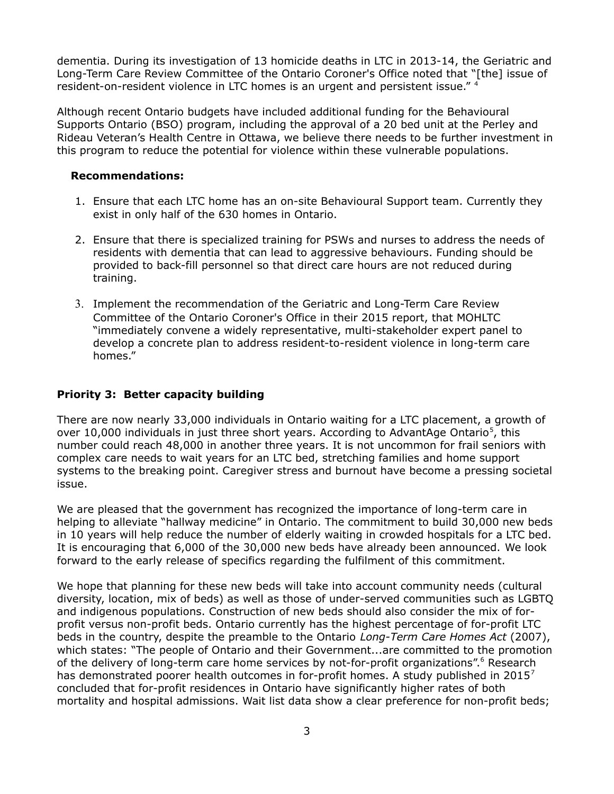dementia. During its investigation of 13 homicide deaths in LTC in 2013-14, the Geriatric and Long-Term Care Review Committee of the Ontario Coroner's Office noted that "[the] issue of resident-on-resident violence in LTC homes is an urgent and persistent issue." <sup>4</sup>

Although recent Ontario budgets have included additional funding for the Behavioural Supports Ontario (BSO) program, including the approval of a 20 bed unit at the Perley and Rideau Veteran's Health Centre in Ottawa, we believe there needs to be further investment in this program to reduce the potential for violence within these vulnerable populations.

#### **Recommendations:**

- 1. Ensure that each LTC home has an on-site Behavioural Support team. Currently they exist in only half of the 630 homes in Ontario.
- 2. Ensure that there is specialized training for PSWs and nurses to address the needs of residents with dementia that can lead to aggressive behaviours. Funding should be provided to back-fill personnel so that direct care hours are not reduced during training.
- 3. Implement the recommendation of the Geriatric and Long-Term Care Review Committee of the Ontario Coroner's Office in their 2015 report, that MOHLTC "immediately convene a widely representative, multi-stakeholder expert panel to develop a concrete plan to address resident-to-resident violence in long-term care homes."

#### **Priority 3: Better capacity building**

There are now nearly 33,000 individuals in Ontario waiting for a LTC placement, a growth of over 10,000 individuals in just three short years. According to AdvantAge Ontario<sup>5</sup>, this number could reach 48,000 in another three years. It is not uncommon for frail seniors with complex care needs to wait years for an LTC bed, stretching families and home support systems to the breaking point. Caregiver stress and burnout have become a pressing societal issue.

We are pleased that the government has recognized the importance of long-term care in helping to alleviate "hallway medicine" in Ontario. The commitment to build 30,000 new beds in 10 years will help reduce the number of elderly waiting in crowded hospitals for a LTC bed. It is encouraging that 6,000 of the 30,000 new beds have already been announced. We look forward to the early release of specifics regarding the fulfilment of this commitment.

We hope that planning for these new beds will take into account community needs (cultural diversity, location, mix of beds) as well as those of under-served communities such as LGBTQ and indigenous populations. Construction of new beds should also consider the mix of forprofit versus non-profit beds. Ontario currently has the highest percentage of for-profit LTC beds in the country, despite the preamble to the Ontario *Long-Term Care Homes Act* (2007), which states: "The people of Ontario and their Government...are committed to the promotion of the delivery of long-term care home services by not-for-profit organizations".<sup>6</sup> Research has demonstrated poorer health outcomes in for-profit homes. A study published in 2015<sup>7</sup> concluded that for-profit residences in Ontario have significantly higher rates of both mortality and hospital admissions. Wait list data show a clear preference for non-profit beds;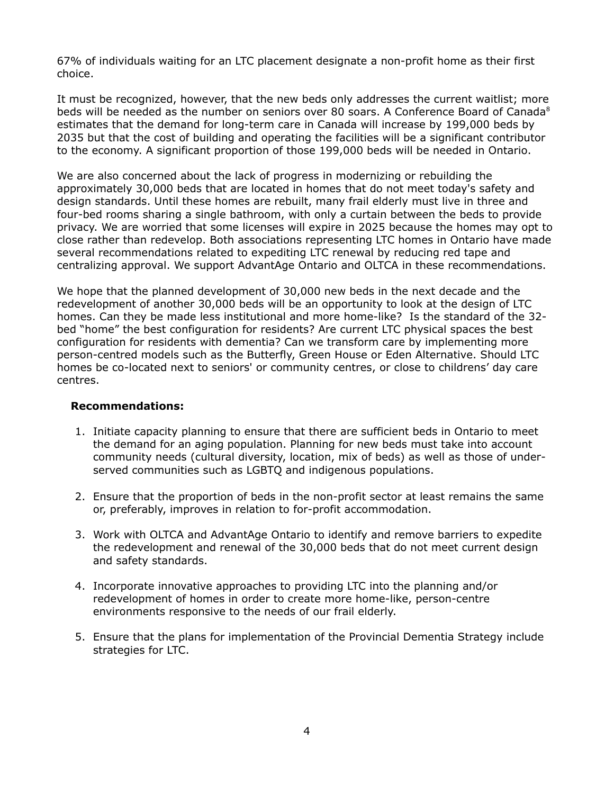67% of individuals waiting for an LTC placement designate a non-profit home as their first choice.

It must be recognized, however, that the new beds only addresses the current waitlist; more beds will be needed as the number on seniors over 80 soars. A Conference Board of Canada $^8$ estimates that the demand for long-term care in Canada will increase by 199,000 beds by 2035 but that the cost of building and operating the facilities will be a significant contributor to the economy. A significant proportion of those 199,000 beds will be needed in Ontario.

We are also concerned about the lack of progress in modernizing or rebuilding the approximately 30,000 beds that are located in homes that do not meet today's safety and design standards. Until these homes are rebuilt, many frail elderly must live in three and four-bed rooms sharing a single bathroom, with only a curtain between the beds to provide privacy. We are worried that some licenses will expire in 2025 because the homes may opt to close rather than redevelop. Both associations representing LTC homes in Ontario have made several recommendations related to expediting LTC renewal by reducing red tape and centralizing approval. We support AdvantAge Ontario and OLTCA in these recommendations.

We hope that the planned development of 30,000 new beds in the next decade and the redevelopment of another 30,000 beds will be an opportunity to look at the design of LTC homes. Can they be made less institutional and more home-like? Is the standard of the 32 bed "home" the best configuration for residents? Are current LTC physical spaces the best configuration for residents with dementia? Can we transform care by implementing more person-centred models such as the Butterfly, Green House or Eden Alternative. Should LTC homes be co-located next to seniors' or community centres, or close to childrens' day care centres.

#### **Recommendations:**

- 1. Initiate capacity planning to ensure that there are sufficient beds in Ontario to meet the demand for an aging population. Planning for new beds must take into account community needs (cultural diversity, location, mix of beds) as well as those of underserved communities such as LGBTQ and indigenous populations.
- 2. Ensure that the proportion of beds in the non-profit sector at least remains the same or, preferably, improves in relation to for-profit accommodation.
- 3. Work with OLTCA and AdvantAge Ontario to identify and remove barriers to expedite the redevelopment and renewal of the 30,000 beds that do not meet current design and safety standards.
- 4. Incorporate innovative approaches to providing LTC into the planning and/or redevelopment of homes in order to create more home-like, person-centre environments responsive to the needs of our frail elderly.
- 5. Ensure that the plans for implementation of the Provincial Dementia Strategy include strategies for LTC.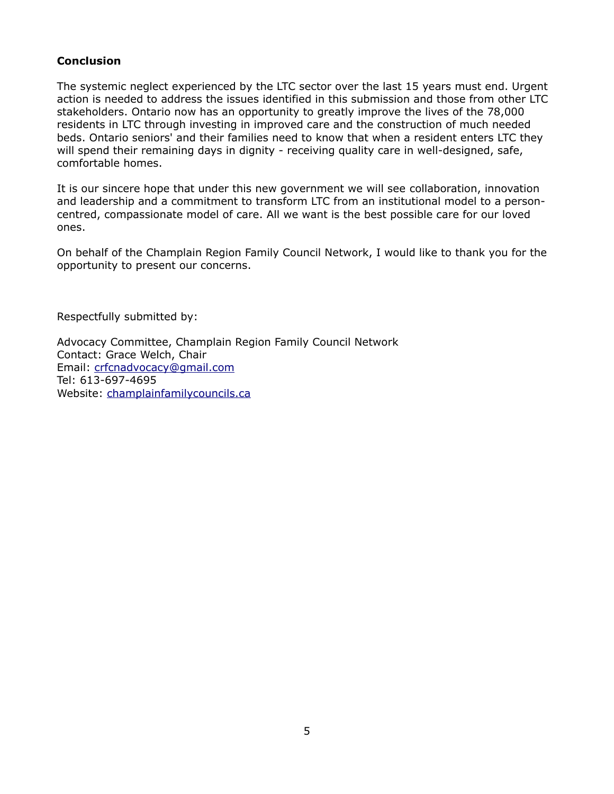# **Conclusion**

The systemic neglect experienced by the LTC sector over the last 15 years must end. Urgent action is needed to address the issues identified in this submission and those from other LTC stakeholders. Ontario now has an opportunity to greatly improve the lives of the 78,000 residents in LTC through investing in improved care and the construction of much needed beds. Ontario seniors' and their families need to know that when a resident enters LTC they will spend their remaining days in dignity - receiving quality care in well-designed, safe, comfortable homes.

It is our sincere hope that under this new government we will see collaboration, innovation and leadership and a commitment to transform LTC from an institutional model to a personcentred, compassionate model of care. All we want is the best possible care for our loved ones.

On behalf of the Champlain Region Family Council Network, I would like to thank you for the opportunity to present our concerns.

Respectfully submitted by:

Advocacy Committee, Champlain Region Family Council Network Contact: Grace Welch, Chair Email: [crfcnadvocacy@gmail.com](mailto:crfcnadvocacy@gmail.com) Tel: 613-697-4695 Website: champlainfamilycouncils.ca